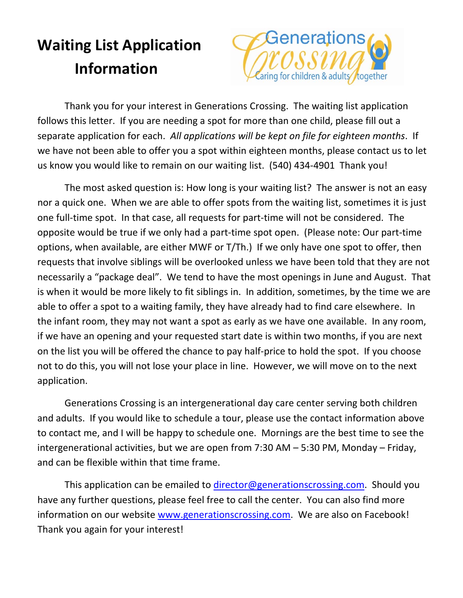## **Waiting List Application Information**



Thank you for your interest in Generations Crossing. The waiting list application follows this letter. If you are needing a spot for more than one child, please fill out a separate application for each. *All applications will be kept on file for eighteen months*. If we have not been able to offer you a spot within eighteen months, please contact us to let us know you would like to remain on our waiting list. (540) 434‐4901 Thank you!

The most asked question is: How long is your waiting list? The answer is not an easy nor a quick one. When we are able to offer spots from the waiting list, sometimes it is just one full‐time spot. In that case, all requests for part‐time will not be considered. The opposite would be true if we only had a part‐time spot open. (Please note: Our part‐time options, when available, are either MWF or T/Th.) If we only have one spot to offer, then requests that involve siblings will be overlooked unless we have been told that they are not necessarily a "package deal". We tend to have the most openings in June and August. That is when it would be more likely to fit siblings in. In addition, sometimes, by the time we are able to offer a spot to a waiting family, they have already had to find care elsewhere. In the infant room, they may not want a spot as early as we have one available. In any room, if we have an opening and your requested start date is within two months, if you are next on the list you will be offered the chance to pay half‐price to hold the spot. If you choose not to do this, you will not lose your place in line. However, we will move on to the next application.

Generations Crossing is an intergenerational day care center serving both children and adults. If you would like to schedule a tour, please use the contact information above to contact me, and I will be happy to schedule one. Mornings are the best time to see the intergenerational activities, but we are open from 7:30 AM – 5:30 PM, Monday – Friday, and can be flexible within that time frame.

This application can be emailed to director@generationscrossing.com. Should you have any further questions, please feel free to call the center. You can also find more information on our website www.generationscrossing.com. We are also on Facebook! Thank you again for your interest!